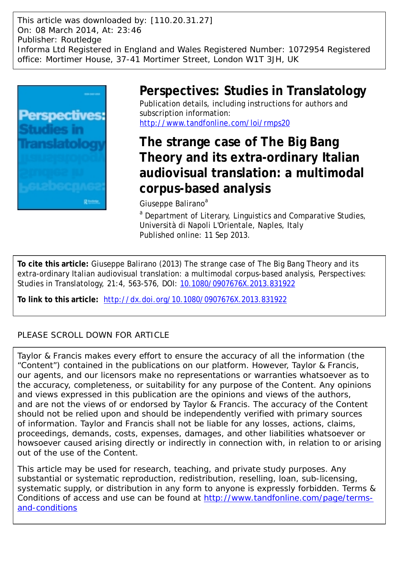This article was downloaded by: [110.20.31.27] On: 08 March 2014, At: 23:46 Publisher: Routledge Informa Ltd Registered in England and Wales Registered Number: 1072954 Registered office: Mortimer House, 37-41 Mortimer Street, London W1T 3JH, UK



## **Perspectives: Studies in Translatology**

Publication details, including instructions for authors and subscription information: <http://www.tandfonline.com/loi/rmps20>

# **The strange case of The Big Bang Theory and its extra-ordinary Italian audiovisual translation: a multimodal corpus-based analysis**

Giuseppe Balirano<sup>a</sup>

<sup>a</sup> Department of Literary, Linguistics and Comparative Studies, Università di Napoli L'Orientale, Naples, Italy Published online: 11 Sep 2013.

**To cite this article:** Giuseppe Balirano (2013) The strange case of The Big Bang Theory and its extra-ordinary Italian audiovisual translation: a multimodal corpus-based analysis, Perspectives: Studies in Translatology, 21:4, 563-576, DOI: [10.1080/0907676X.2013.831922](http://www.tandfonline.com/action/showCitFormats?doi=10.1080/0907676X.2013.831922)

**To link to this article:** <http://dx.doi.org/10.1080/0907676X.2013.831922>

### PLEASE SCROLL DOWN FOR ARTICLE

Taylor & Francis makes every effort to ensure the accuracy of all the information (the "Content") contained in the publications on our platform. However, Taylor & Francis, our agents, and our licensors make no representations or warranties whatsoever as to the accuracy, completeness, or suitability for any purpose of the Content. Any opinions and views expressed in this publication are the opinions and views of the authors, and are not the views of or endorsed by Taylor & Francis. The accuracy of the Content should not be relied upon and should be independently verified with primary sources of information. Taylor and Francis shall not be liable for any losses, actions, claims, proceedings, demands, costs, expenses, damages, and other liabilities whatsoever or howsoever caused arising directly or indirectly in connection with, in relation to or arising out of the use of the Content.

This article may be used for research, teaching, and private study purposes. Any substantial or systematic reproduction, redistribution, reselling, loan, sub-licensing, systematic supply, or distribution in any form to anyone is expressly forbidden. Terms & Conditions of access and use can be found at [http://www.tandfonline.com/page/terms](http://www.tandfonline.com/page/terms-and-conditions)[and-conditions](http://www.tandfonline.com/page/terms-and-conditions)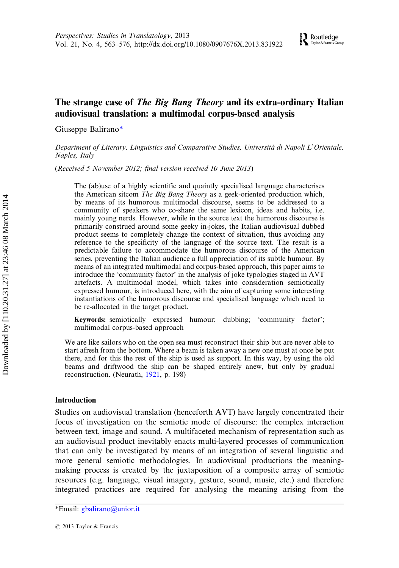### The strange case of *The Big Bang Theory* and its extra-ordinary Italian audiovisual translation: a multimodal corpus-based analysis

Giuseppe Balirano\*

Department of Literary, Linguistics and Comparative Studies, Università di Napoli L'Orientale, Naples, Italy

(Received 5 November 2012; final version received 10 June 2013)

The (ab)use of a highly scientific and quaintly specialised language characterises the American sitcom *The Big Bang Theory* as a geek-oriented production which, by means of its humorous multimodal discourse, seems to be addressed to a community of speakers who co-share the same lexicon, ideas and habits, i.e. mainly young nerds. However, while in the source text the humorous discourse is primarily construed around some geeky in-jokes, the Italian audiovisual dubbed product seems to completely change the context of situation, thus avoiding any reference to the specificity of the language of the source text. The result is a predictable failure to accommodate the humorous discourse of the American series, preventing the Italian audience a full appreciation of its subtle humour. By means of an integrated multimodal and corpus-based approach, this paper aims to introduce the 'community factor' in the analysis of joke typologies staged in AVT artefacts. A multimodal model, which takes into consideration semiotically expressed humour, is introduced here, with the aim of capturing some interesting instantiations of the humorous discourse and specialised language which need to be re-allocated in the target product.

Keywords: semiotically expressed humour; dubbing; 'community factor'; multimodal corpus-based approach

We are like sailors who on the open sea must reconstruct their ship but are never able to start afresh from the bottom. Where a beam is taken away a new one must at once be put there, and for this the rest of the ship is used as support. In this way, by using the old beams and driftwood the ship can be shaped entirely anew, but only by gradual reconstruction. (Neurath, [1921,](#page-14-0) p. 198)

#### Introduction

Studies on audiovisual translation (henceforth AVT) have largely concentrated their focus of investigation on the semiotic mode of discourse: the complex interaction between text, image and sound. A multifaceted mechanism of representation such as an audiovisual product inevitably enacts multi-layered processes of communication that can only be investigated by means of an integration of several linguistic and more general semiotic methodologies. In audiovisual productions the meaningmaking process is created by the juxtaposition of a composite array of semiotic resources (e.g. language, visual imagery, gesture, sound, music, etc.) and therefore integrated practices are required for analysing the meaning arising from the

<sup>\*</sup>Email: [gbalirano@unior.it](mailto:gbalirano@unior.it)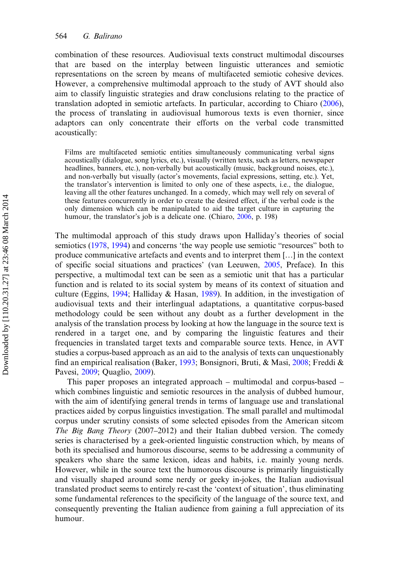combination of these resources. Audiovisual texts construct multimodal discourses that are based on the interplay between linguistic utterances and semiotic representations on the screen by means of multifaceted semiotic cohesive devices. However, a comprehensive multimodal approach to the study of AVT should also aim to classify linguistic strategies and draw conclusions relating to the practice of translation adopted in semiotic artefacts. In particular, according to Chiaro [\(2006](#page-14-0)), the process of translating in audiovisual humorous texts is even thornier, since adaptors can only concentrate their efforts on the verbal code transmitted acoustically:

Films are multifaceted semiotic entities simultaneously communicating verbal signs acoustically (dialogue, song lyrics, etc.), visually (written texts, such as letters, newspaper headlines, banners, etc.), non-verbally but acoustically (music, background noises, etc.), and non-verbally but visually (actor's movements, facial expressions, setting, etc.). Yet, the translator's intervention is limited to only one of these aspects, i.e., the dialogue, leaving all the other features unchanged. In a comedy, which may well rely on several of these features concurrently in order to create the desired effect, if the verbal code is the only dimension which can be manipulated to aid the target culture in capturing the humour, the translator's job is a delicate one. (Chiaro, [2006,](#page-14-0) p. 198)

The multimodal approach of this study draws upon Halliday's theories of social semiotics [\(1978](#page-14-0), [1994\)](#page-14-0) and concerns 'the way people use semiotic "resources" both to produce communicative artefacts and events and to interpret them […] in the context of specific social situations and practices' (van Leeuwen, [2005,](#page-14-0) Preface). In this perspective, a multimodal text can be seen as a semiotic unit that has a particular function and is related to its social system by means of its context of situation and culture (Eggins, [1994](#page-14-0); Halliday & Hasan, [1989\)](#page-14-0). In addition, in the investigation of audiovisual texts and their interlingual adaptations, a quantitative corpus-based methodology could be seen without any doubt as a further development in the analysis of the translation process by looking at how the language in the source text is rendered in a target one, and by comparing the linguistic features and their frequencies in translated target texts and comparable source texts. Hence, in AVT studies a corpus-based approach as an aid to the analysis of texts can unquestionably find an empirical realisation (Baker, [1993;](#page-13-0) Bonsignori, Bruti, & Masi, [2008;](#page-13-0) Freddi & Pavesi, [2009;](#page-14-0) Quaglio, [2009](#page-14-0)).

This paper proposes an integrated approach – multimodal and corpus-based – which combines linguistic and semiotic resources in the analysis of dubbed humour, with the aim of identifying general trends in terms of language use and translational practices aided by corpus linguistics investigation. The small parallel and multimodal corpus under scrutiny consists of some selected episodes from the American sitcom The Big Bang Theory (2007–2012) and their Italian dubbed version. The comedy series is characterised by a geek-oriented linguistic construction which, by means of both its specialised and humorous discourse, seems to be addressing a community of speakers who share the same lexicon, ideas and habits, i.e. mainly young nerds. However, while in the source text the humorous discourse is primarily linguistically and visually shaped around some nerdy or geeky in-jokes, the Italian audiovisual translated product seems to entirely re-cast the 'context of situation', thus eliminating some fundamental references to the specificity of the language of the source text, and consequently preventing the Italian audience from gaining a full appreciation of its humour.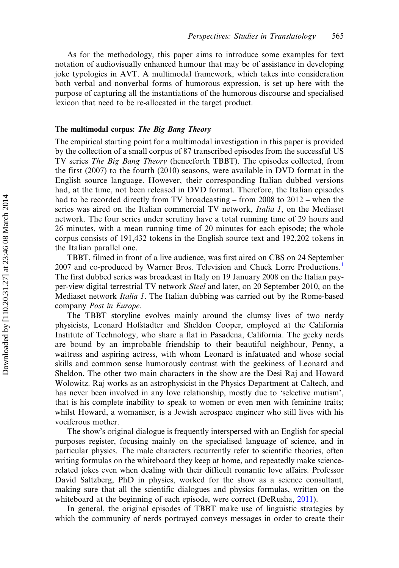As for the methodology, this paper aims to introduce some examples for text notation of audiovisually enhanced humour that may be of assistance in developing joke typologies in AVT. A multimodal framework, which takes into consideration both verbal and nonverbal forms of humorous expression, is set up here with the purpose of capturing all the instantiations of the humorous discourse and specialised lexicon that need to be re-allocated in the target product.

#### The multimodal corpus: The Big Bang Theory

The empirical starting point for a multimodal investigation in this paper is provided by the collection of a small corpus of 87 transcribed episodes from the successful US TV series The Big Bang Theory (henceforth TBBT). The episodes collected, from the first (2007) to the fourth (2010) seasons, were available in DVD format in the English source language. However, their corresponding Italian dubbed versions had, at the time, not been released in DVD format. Therefore, the Italian episodes had to be recorded directly from TV broadcasting – from 2008 to 2012 – when the series was aired on the Italian commercial TV network, *Italia 1*, on the Mediaset network. The four series under scrutiny have a total running time of 29 hours and 26 minutes, with a mean running time of 20 minutes for each episode; the whole corpus consists of 191,432 tokens in the English source text and 192,202 tokens in the Italian parallel one.

TBBT, filmed in front of a live audience, was first aired on CBS on 24 September 2007 and co-produced by Warner Bros. Television and Chuck Lorre Productions.<sup>[1](#page-12-0)</sup> The first dubbed series was broadcast in Italy on 19 January 2008 on the Italian payper-view digital terrestrial TV network Steel and later, on 20 September 2010, on the Mediaset network *Italia 1*. The Italian dubbing was carried out by the Rome-based company Post in Europe.

The TBBT storyline evolves mainly around the clumsy lives of two nerdy physicists, Leonard Hofstadter and Sheldon Cooper, employed at the California Institute of Technology, who share a flat in Pasadena, California. The geeky nerds are bound by an improbable friendship to their beautiful neighbour, Penny, a waitress and aspiring actress, with whom Leonard is infatuated and whose social skills and common sense humorously contrast with the geekiness of Leonard and Sheldon. The other two main characters in the show are the Desi Raj and Howard Wolowitz. Raj works as an astrophysicist in the Physics Department at Caltech, and has never been involved in any love relationship, mostly due to 'selective mutism', that is his complete inability to speak to women or even men with feminine traits; whilst Howard, a womaniser, is a Jewish aerospace engineer who still lives with his vociferous mother.

The show's original dialogue is frequently interspersed with an English for special purposes register, focusing mainly on the specialised language of science, and in particular physics. The male characters recurrently refer to scientific theories, often writing formulas on the whiteboard they keep at home, and repeatedly make sciencerelated jokes even when dealing with their difficult romantic love affairs. Professor David Saltzberg, PhD in physics, worked for the show as a science consultant, making sure that all the scientific dialogues and physics formulas, written on the whiteboard at the beginning of each episode, were correct (DeRusha, [2011\)](#page-14-0).

In general, the original episodes of TBBT make use of linguistic strategies by which the community of nerds portrayed conveys messages in order to create their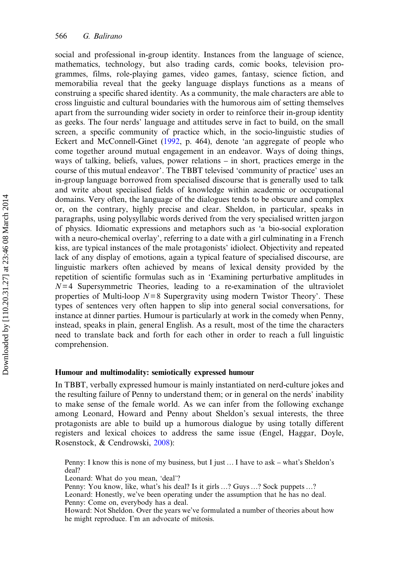social and professional in-group identity. Instances from the language of science, mathematics, technology, but also trading cards, comic books, television programmes, films, role-playing games, video games, fantasy, science fiction, and memorabilia reveal that the geeky language displays functions as a means of construing a specific shared identity. As a community, the male characters are able to cross linguistic and cultural boundaries with the humorous aim of setting themselves apart from the surrounding wider society in order to reinforce their in-group identity as geeks. The four nerds' language and attitudes serve in fact to build, on the small screen, a specific community of practice which, in the socio-linguistic studies of Eckert and McConnell-Ginet [\(1992](#page-14-0), p. 464), denote 'an aggregate of people who come together around mutual engagement in an endeavor. Ways of doing things, ways of talking, beliefs, values, power relations – in short, practices emerge in the course of this mutual endeavor'. The TBBT televised 'community of practice' uses an in-group language borrowed from specialised discourse that is generally used to talk and write about specialised fields of knowledge within academic or occupational domains. Very often, the language of the dialogues tends to be obscure and complex or, on the contrary, highly precise and clear. Sheldon, in particular, speaks in paragraphs, using polysyllabic words derived from the very specialised written jargon of physics. Idiomatic expressions and metaphors such as 'a bio-social exploration with a neuro-chemical overlay', referring to a date with a girl culminating in a French kiss, are typical instances of the male protagonists' idiolect. Objectivity and repeated lack of any display of emotions, again a typical feature of specialised discourse, are linguistic markers often achieved by means of lexical density provided by the repetition of scientific formulas such as in 'Examining perturbative amplitudes in  $N=4$  Supersymmetric Theories, leading to a re-examination of the ultraviolet properties of Multi-loop  $N=8$  Supergravity using modern Twistor Theory'. These types of sentences very often happen to slip into general social conversations, for instance at dinner parties. Humour is particularly at work in the comedy when Penny, instead, speaks in plain, general English. As a result, most of the time the characters need to translate back and forth for each other in order to reach a full linguistic comprehension.

#### Humour and multimodality: semiotically expressed humour

In TBBT, verbally expressed humour is mainly instantiated on nerd-culture jokes and the resulting failure of Penny to understand them; or in general on the nerds' inability to make sense of the female world. As we can infer from the following exchange among Leonard, Howard and Penny about Sheldon's sexual interests, the three protagonists are able to build up a humorous dialogue by using totally different registers and lexical choices to address the same issue (Engel, Haggar, Doyle, Rosenstock, & Cendrowski, [2008](#page-14-0)):

Penny: I know this is none of my business, but I just … I have to ask – what's Sheldon's deal?

Leonard: What do you mean, 'deal'?

Penny: You know, like, what's his deal? Is it girls …? Guys …? Sock puppets …?

Leonard: Honestly, we've been operating under the assumption that he has no deal. Penny: Come on, everybody has a deal.

Howard: Not Sheldon. Over the years we've formulated a number of theories about how he might reproduce. I'm an advocate of mitosis.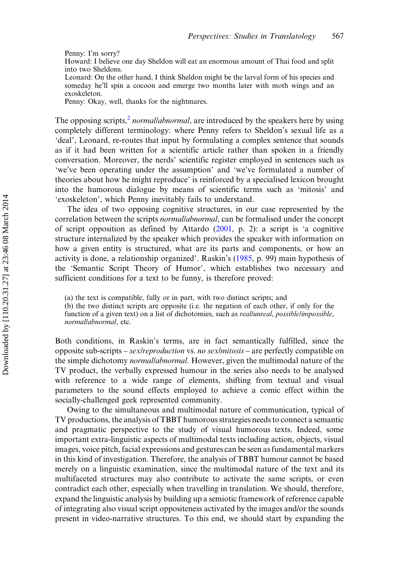Penny: I'm sorry?

Howard: I believe one day Sheldon will eat an enormous amount of Thai food and split into two Sheldons.

Leonard: On the other hand, I think Sheldon might be the larval form of his species and someday he'll spin a cocoon and emerge two months later with moth wings and an exoskeleton.

Penny: Okay, well, thanks for the nightmares.

The opposing scripts, $\frac{2}{3}$  normallabnormal[, are introduced by the speakers here by using](#page-13-0) completely different terminology: where Penny refers to Sheldon's sexual life as a 'deal', Leonard, re-routes that input by formulating a complex sentence that sounds as if it had been written for a scientific article rather than spoken in a friendly conversation. Moreover, the nerds' scientific register employed in sentences such as 'we've been operating under the assumption' and 'we've formulated a number of theories about how he might reproduce' is reinforced by a specialised lexicon brought into the humorous dialogue by means of scientific terms such as 'mitosis' and 'exoskeleton', which Penny inevitably fails to understand.

The idea of two opposing cognitive structures, in our case represented by the correlation between the scripts normal/abnormal, can be formalised under the concept of script opposition as defined by Attardo ([2001,](#page-13-0) p. 2): a script is 'a cognitive structure internalized by the speaker which provides the speaker with information on how a given entity is structured, what are its parts and components, or how an activity is done, a relationship organized'. Raskin's ([1985,](#page-14-0) p. 99) main hypothesis of the 'Semantic Script Theory of Humor', which establishes two necessary and sufficient conditions for a text to be funny, is therefore proved:

(a) the text is compatible, fully or in part, with two distinct scripts; and

(b) the two distinct scripts are opposite (i.e. the negation of each other, if only for the function of a given text) on a list of dichotomies, such as real/unreal, possible/impossible, normal/abnormal, etc.

Both conditions, in Raskin's terms, are in fact semantically fulfilled, since the opposite sub-scripts – sex/reproduction vs. no sex/mitosis – are perfectly compatible on the simple dichotomy normal/abnormal. However, given the multimodal nature of the TV product, the verbally expressed humour in the series also needs to be analysed with reference to a wide range of elements, shifting from textual and visual parameters to the sound effects employed to achieve a comic effect within the socially-challenged geek represented community.

Owing to the simultaneous and multimodal nature of communication, typical of TV productions, the analysis of TBBT humorous strategies needs to connect a semantic and pragmatic perspective to the study of visual humorous texts. Indeed, some important extra-linguistic aspects of multimodal texts including action, objects, visual images, voice pitch, facial expressions and gestures can be seen as fundamental markers in this kind of investigation. Therefore, the analysis of TBBT humour cannot be based merely on a linguistic examination, since the multimodal nature of the text and its multifaceted structures may also contribute to activate the same scripts, or even contradict each other, especially when travelling in translation. We should, therefore, expand the linguistic analysis by building up a semiotic framework of reference capable of integrating also visual script oppositeness activated by the images and/or the sounds present in video-narrative structures. To this end, we should start by expanding the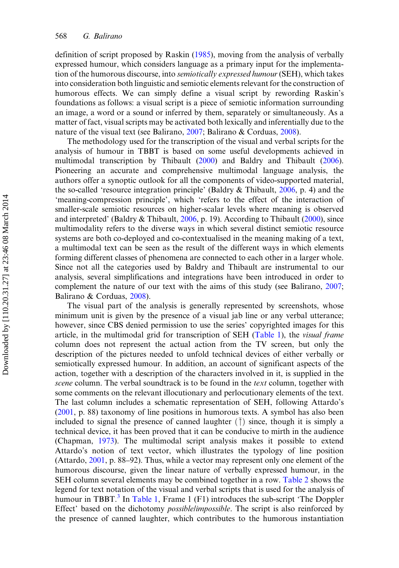definition of script proposed by Raskin ([1985](#page-14-0)), moving from the analysis of verbally expressed humour, which considers language as a primary input for the implementation of the humorous discourse, into *semiotically expressed humour* (SEH), which takes into consideration both linguistic and semiotic elements relevant for the construction of humorous effects. We can simply define a visual script by rewording Raskin's foundations as follows: a visual script is a piece of semiotic information surrounding an image, a word or a sound or inferred by them, separately or simultaneously. As a matter of fact, visual scripts may be activated both lexically and inferentially due to the nature of the visual text (see Balirano, [2007;](#page-13-0) Balirano & Corduas, [2008\)](#page-13-0).

The methodology used for the transcription of the visual and verbal scripts for the analysis of humour in TBBT is based on some useful developments achieved in multimodal transcription by Thibault ([2000\)](#page-14-0) and Baldry and Thibault [\(2006](#page-13-0)). Pioneering an accurate and comprehensive multimodal language analysis, the authors offer a synoptic outlook for all the components of video-supported material, the so-called 'resource integration principle' (Baldry & Thibault, [2006](#page-13-0), p. 4) and the 'meaning-compression principle', which 'refers to the effect of the interaction of smaller-scale semiotic resources on higher-scalar levels where meaning is observed and interpreted' (Baldry & Thibault, [2006](#page-13-0), p. 19). According to Thibault [\(2000](#page-14-0)), since multimodality refers to the diverse ways in which several distinct semiotic resource systems are both co-deployed and co-contextualised in the meaning making of a text, a multimodal text can be seen as the result of the different ways in which elements forming different classes of phenomena are connected to each other in a larger whole. Since not all the categories used by Baldry and Thibault are instrumental to our analysis, several simplifications and integrations have been introduced in order to complement the nature of our text with the aims of this study (see Balirano, [2007](#page-13-0); Balirano & Corduas, [2008\)](#page-13-0).

The visual part of the analysis is generally represented by screenshots, whose minimum unit is given by the presence of a visual jab line or any verbal utterance; however, since CBS denied permission to use the series' copyrighted images for this article, in the multimodal grid for transcription of SEH [\(Table 1\)](#page-7-0), the visual frame column does not represent the actual action from the TV screen, but only the description of the pictures needed to unfold technical devices of either verbally or semiotically expressed humour. In addition, an account of significant aspects of the action, together with a description of the characters involved in it, is supplied in the scene column. The verbal soundtrack is to be found in the text column, together with some comments on the relevant illocutionary and perlocutionary elements of the text. The last column includes a schematic representation of SEH, following Attardo's [\(2001](#page-13-0), p. 88) taxonomy of line positions in humorous texts. A symbol has also been included to signal the presence of canned laughter  $(\bar{\uparrow})$  since, though it is simply a technical device, it has been proved that it can be conducive to mirth in the audience (Chapman, [1973](#page-14-0)). The multimodal script analysis makes it possible to extend Attardo's notion of text vector, which illustrates the typology of line position (Attardo, [2001,](#page-13-0) p. 88–92). Thus, while a vector may represent only one element of the humorous discourse, given the linear nature of verbally expressed humour, in the SEH column several elements may be combined together in a row. [Table 2](#page-8-0) shows the legend for text notation of the visual and verbal scripts that is used for the analysis of humour in TBBT.<sup>3</sup> [In](#page-13-0) [Table 1,](#page-7-0) Frame 1 (F1) introduces the sub-script 'The Doppler Effect' based on the dichotomy possible/impossible. The script is also reinforced by the presence of canned laughter, which contributes to the humorous instantiation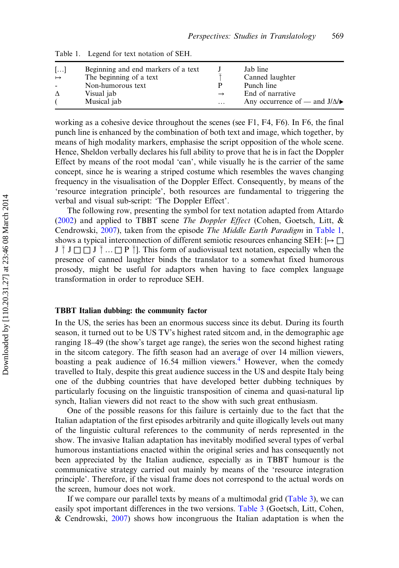| Beginning and end markers of a text<br>$\left[ \ldots \right]$<br>The beginning of a text<br>$\mapsto$<br>Non-humorous text<br>$\overline{a}$<br>Visual jab<br>$\Lambda$<br>Musical jab | $\rightarrow$<br>$\cdots$ | Jab line<br>Canned laughter<br>Punch line<br>End of narrative<br>Any occurrence of — and $J/\Delta$ |
|-----------------------------------------------------------------------------------------------------------------------------------------------------------------------------------------|---------------------------|-----------------------------------------------------------------------------------------------------|
|-----------------------------------------------------------------------------------------------------------------------------------------------------------------------------------------|---------------------------|-----------------------------------------------------------------------------------------------------|

<span id="page-7-0"></span>Table 1. Legend for text notation of SEH.

working as a cohesive device throughout the scenes (see F1, F4, F6). In F6, the final punch line is enhanced by the combination of both text and image, which together, by means of high modality markers, emphasise the script opposition of the whole scene. Hence, Sheldon verbally declares his full ability to prove that he is in fact the Doppler Effect by means of the root modal 'can', while visually he is the carrier of the same concept, since he is wearing a striped costume which resembles the waves changing frequency in the visualisation of the Doppler Effect. Consequently, by means of the 'resource integration principle', both resources are fundamental to triggering the verbal and visual sub-script: 'The Doppler Effect'.

The following row, presenting the symbol for text notation adapted from Attardo [\(2002](#page-13-0)) and applied to TBBT scene The Doppler Effect (Cohen, Goetsch, Litt,  $\&$ Cendrowski, [2007](#page-14-0)), taken from the episode The Middle Earth Paradigm in Table 1, shows a typical interconnection of different semiotic resources enhancing SEH:  $\vdash\vdash \Box$  $J \bar{J} \sqcap \Box \Box J \bar{J} \ldots \Box P \bar{J}$ . This form of audiovisual text notation, especially when the presence of canned laughter binds the translator to a somewhat fixed humorous prosody, might be useful for adaptors when having to face complex language transformation in order to reproduce SEH.

#### TBBT Italian dubbing: the community factor

In the US, the series has been an enormous success since its debut. During its fourth season, it turned out to be US TV's highest rated sitcom and, in the demographic age ranging 18–49 (the show's target age range), the series won the second highest rating in the sitcom category. The fifth season had an average of over 14 million viewers, boasting a peak audience of 16.54 million viewers.<sup>4</sup> [However, when the comedy](#page-13-0) travelled to Italy, despite this great audience success in the US and despite Italy being one of the dubbing countries that have developed better dubbing techniques by particularly focusing on the linguistic transposition of cinema and quasi-natural lip synch, Italian viewers did not react to the show with such great enthusiasm.

One of the possible reasons for this failure is certainly due to the fact that the Italian adaptation of the first episodes arbitrarily and quite illogically levels out many of the linguistic cultural references to the community of nerds represented in the show. The invasive Italian adaptation has inevitably modified several types of verbal humorous instantiations enacted within the original series and has consequently not been appreciated by the Italian audience, especially as in TBBT humour is the communicative strategy carried out mainly by means of the 'resource integration principle'. Therefore, if the visual frame does not correspond to the actual words on the screen, humour does not work.

If we compare our parallel texts by means of a multimodal grid ([Table 3\)](#page-8-0), we can easily spot important differences in the two versions. [Table 3](#page-8-0) (Goetsch, Litt, Cohen, & Cendrowski, [2007\)](#page-14-0) shows how incongruous the Italian adaptation is when the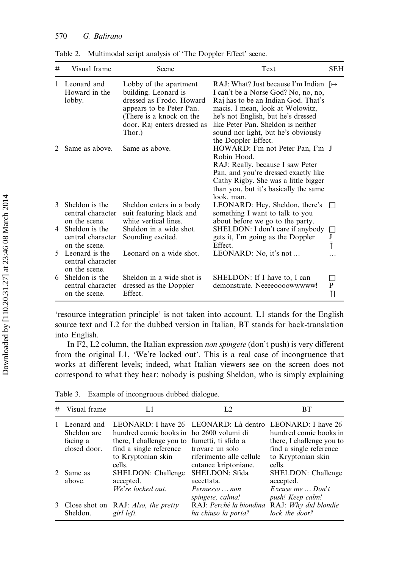| #             | Visual frame                                         | Scene                                                                                                                                                                       | Text                                                                                                                                                                                                                                                                                                     | <b>SEH</b>                           |
|---------------|------------------------------------------------------|-----------------------------------------------------------------------------------------------------------------------------------------------------------------------------|----------------------------------------------------------------------------------------------------------------------------------------------------------------------------------------------------------------------------------------------------------------------------------------------------------|--------------------------------------|
| 1             | Leonard and<br>Howard in the<br>lobby.               | Lobby of the apartment<br>building. Leonard is<br>dressed as Frodo. Howard<br>appears to be Peter Pan.<br>(There is a knock on the<br>door. Raj enters dressed as<br>Thor.) | RAJ: What? Just because I'm Indian $\varphi$<br>I can't be a Norse God? No, no, no,<br>Raj has to be an Indian God. That's<br>macis. I mean, look at Wolowitz,<br>he's not English, but he's dressed<br>like Peter Pan. Sheldon is neither<br>sound nor light, but he's obviously<br>the Doppler Effect. |                                      |
| $\mathcal{L}$ | Same as above.                                       | Same as above.                                                                                                                                                              | HOWARD: I'm not Peter Pan, I'm J<br>Robin Hood.<br>RAJ: Really, because I saw Peter<br>Pan, and you're dressed exactly like<br>Cathy Rigby. She was a little bigger<br>than you, but it's basically the same<br>look, man.                                                                               |                                      |
| $\mathcal{F}$ | Sheldon is the<br>central character<br>on the scene. | Sheldon enters in a body<br>suit featuring black and<br>white vertical lines.                                                                                               | LEONARD: Hey, Sheldon, there's<br>something I want to talk to you<br>about before we go to the party.                                                                                                                                                                                                    | П                                    |
| 4             | Sheldon is the<br>central character<br>on the scene. | Sheldon in a wide shot.<br>Sounding excited.                                                                                                                                | SHELDON: I don't care if anybody<br>gets it, I'm going as the Doppler<br>Effect.                                                                                                                                                                                                                         | $\mathsf{L}$<br>$J_{\bar{\uparrow}}$ |
| 5.            | Leonard is the<br>central character<br>on the scene. | Leonard on a wide shot.                                                                                                                                                     | LEONARD: No, it's not                                                                                                                                                                                                                                                                                    |                                      |
| 6.            | Sheldon is the<br>central character<br>on the scene. | Sheldon in a wide shot is<br>dressed as the Doppler<br>Effect.                                                                                                              | SHELDON: If I have to, I can<br>demonstrate. Neeeeoooowwwww!                                                                                                                                                                                                                                             | $\mathbf P$<br>$\bar{1}$             |

<span id="page-8-0"></span>Table 2. Multimodal script analysis of 'The Doppler Effect' scene.

'resource integration principle' is not taken into account. L1 stands for the English source text and L2 for the dubbed version in Italian, BT stands for back-translation into English.

In F2, L2 column, the Italian expression non spingete (don't push) is very different from the original L1, 'We're locked out'. This is a real case of incongruence that works at different levels; indeed, what Italian viewers see on the screen does not correspond to what they hear: nobody is pushing Sheldon, who is simply explaining

| # Visual frame                                           | L1                                                                                                                                                   | L2                                                                                                                              | <b>BT</b>                                                                                                      |
|----------------------------------------------------------|------------------------------------------------------------------------------------------------------------------------------------------------------|---------------------------------------------------------------------------------------------------------------------------------|----------------------------------------------------------------------------------------------------------------|
| 1 Leonard and<br>Sheldon are<br>facing a<br>closed door. | hundred comic books in ho 2600 volumi di<br>there, I challenge you to fumetti, ti sfido a<br>find a single reference<br>to Kryptonian skin<br>cells. | LEONARD: I have 26 LEONARD: Là dentro LEONARD: I have 26<br>trovare un solo<br>riferimento alle cellule<br>cutanee kriptoniane. | hundred comic books in<br>there, I challenge you to<br>find a single reference<br>to Kryptonian skin<br>cells. |
| 2 Same as<br>above.                                      | SHELDON: Challenge<br>accepted.<br>We're locked out.                                                                                                 | SHELDON: Sfida<br>accettata.<br>Permesso  non<br>spingete, calma!                                                               | SHELDON: Challenge<br>accepted.<br>Excuse $me$ Don't<br>push! Keep calm!                                       |
| Sheldon.                                                 | 3 Close shot on RAJ: Also, the pretty<br>girl left.                                                                                                  | RAJ: Perché la biondina RAJ: Why did blondie<br>ha chiuso la porta?                                                             | lock the door?                                                                                                 |

Table 3. Example of incongruous dubbed dialogue.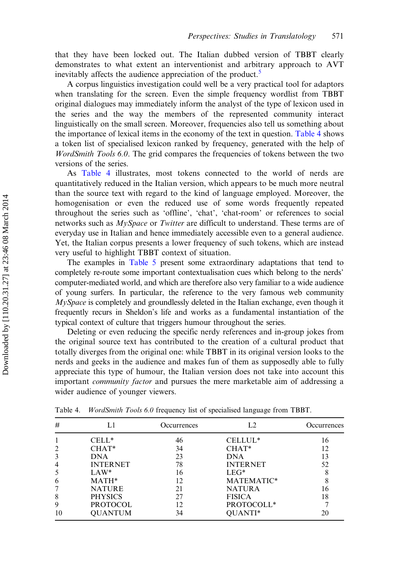that they have been locked out. The Italian dubbed version of TBBT clearly demonstrates to what extent an interventionist and arbitrary approach to AVT inevitably affects the audience appreciation of the product.<sup>[5](#page-13-0)</sup>

A corpus linguistics investigation could well be a very practical tool for adaptors when translating for the screen. Even the simple frequency wordlist from TBBT original dialogues may immediately inform the analyst of the type of lexicon used in the series and the way the members of the represented community interact linguistically on the small screen. Moreover, frequencies also tell us something about the importance of lexical items in the economy of the text in question. Table 4 shows a token list of specialised lexicon ranked by frequency, generated with the help of WordSmith Tools 6.0. The grid compares the frequencies of tokens between the two versions of the series.

As Table 4 illustrates, most tokens connected to the world of nerds are quantitatively reduced in the Italian version, which appears to be much more neutral than the source text with regard to the kind of language employed. Moreover, the homogenisation or even the reduced use of some words frequently repeated throughout the series such as 'offline', 'chat', 'chat-room' or references to social networks such as  $MySpace$  or Twitter are difficult to understand. These terms are of everyday use in Italian and hence immediately accessible even to a general audience. Yet, the Italian corpus presents a lower frequency of such tokens, which are instead very useful to highlight TBBT context of situation.

The examples in [Table 5](#page-10-0) present some extraordinary adaptations that tend to completely re-route some important contextualisation cues which belong to the nerds' computer-mediated world, and which are therefore also very familiar to a wide audience of young surfers. In particular, the reference to the very famous web community  $M<sub>V</sub> Space$  is completely and groundlessly deleted in the Italian exchange, even though it frequently recurs in Sheldon's life and works as a fundamental instantiation of the typical context of culture that triggers humour throughout the series.

Deleting or even reducing the specific nerdy references and in-group jokes from the original source text has contributed to the creation of a cultural product that totally diverges from the original one: while TBBT in its original version looks to the nerds and geeks in the audience and makes fun of them as supposedly able to fully appreciate this type of humour, the Italian version does not take into account this important community factor and pursues the mere marketable aim of addressing a wider audience of younger viewers.

| #  |                 | Occurrences | L2              | Occurrences |
|----|-----------------|-------------|-----------------|-------------|
|    | CELL*           | 46          | CELLUL*         | 16          |
| 2  | $CHAT*$         | 34          | $CHAT*$         | 12          |
| 3  | <b>DNA</b>      | 23          | <b>DNA</b>      | 13          |
| 4  | <b>INTERNET</b> | 78          | <b>INTERNET</b> | 52          |
| 5  | $LAW*$          | 16          | $LEG*$          | 8           |
| 6  | $MATH^*$        | 12          | MATEMATIC*      | 8           |
|    | <b>NATURE</b>   | 21          | <b>NATURA</b>   | 16          |
| 8  | <b>PHYSICS</b>  | 27          | <b>FISICA</b>   | 18          |
| 9  | <b>PROTOCOL</b> | 12          | PROTOCOLL*      |             |
| 10 | OUANTUM         | 34          | OUANTI*         | 20          |

Table 4. WordSmith Tools 6.0 frequency list of specialised language from TBBT.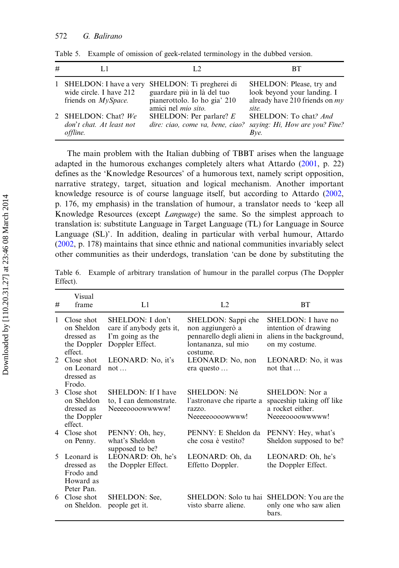| #            |                                                                                  | $L^2$                                                                                                                 | RТ                                                                                                   |
|--------------|----------------------------------------------------------------------------------|-----------------------------------------------------------------------------------------------------------------------|------------------------------------------------------------------------------------------------------|
| $\mathbf{1}$ | SHELDON: I have a very<br>wide circle. I have 212<br>friends on <i>MySpace</i> . | SHELDON: Ti pregherei di<br>guardare più in là del tuo<br>pianerottolo. Io ho gia' 210<br>amici nel <i>mio sito</i> . | SHELDON: Please, try and<br>look beyond your landing. I<br>already have 210 friends on $mv$<br>site. |
|              | 2 SHELDON: Chat? We<br>don't chat. At least not<br><i>offline.</i>               | SHELDON: Per parlare? $E$<br>dire: ciao, come va, bene, ciao?                                                         | SHELDON: To chat? And<br>saying: Hi, How are you? Fine?<br>Bve.                                      |

<span id="page-10-0"></span>Table 5. Example of omission of geek-related terminology in the dubbed version.

The main problem with the Italian dubbing of TBBT arises when the language adapted in the humorous exchanges completely alters what Attardo ([2001,](#page-13-0) p. 22) defines as the 'Knowledge Resources' of a humorous text, namely script opposition, narrative strategy, target, situation and logical mechanism. Another important knowledge resource is of course language itself, but according to Attardo ([2002](#page-13-0), p. 176, my emphasis) in the translation of humour, a translator needs to 'keep all Knowledge Resources (except Language) the same. So the simplest approach to translation is: substitute Language in Target Language (TL) for Language in Source Language (SL)'. In addition, dealing in particular with verbal humour, Attardo [\(2002](#page-13-0), p. 178) maintains that since ethnic and national communities invariably select other communities as their underdogs, translation 'can be done by substituting the

Table 6. Example of arbitrary translation of humour in the parallel corpus (The Doppler Effect).

| #  | Visual<br>frame                                                  | L1                                                                                  | L2                                                                                                      | <b>BT</b>                                                                                 |
|----|------------------------------------------------------------------|-------------------------------------------------------------------------------------|---------------------------------------------------------------------------------------------------------|-------------------------------------------------------------------------------------------|
| 1  | Close shot<br>on Sheldon<br>dressed as<br>the Doppler<br>effect. | SHELDON: I don't<br>care if anybody gets it,<br>I'm going as the<br>Doppler Effect. | SHELDON: Sappi che<br>non aggiungerò a<br>pennarello degli alieni in<br>lontananza, sul mio<br>costume. | SHELDON: I have no<br>intention of drawing<br>aliens in the background,<br>on my costume. |
| 2  | Close shot<br>on Leonard<br>dressed as<br>Frodo.                 | LEONARD: No, it's<br>$not \dots$                                                    | LEONARD: No, non<br>era questo                                                                          | LEONARD: No, it was<br>not that $\dots$                                                   |
| 3  | Close shot<br>on Sheldon<br>dressed as<br>the Doppler<br>effect. | SHELDON: If I have<br>to, I can demonstrate.<br>Neeeeoooowwwww!                     | <b>SHELDON: Né</b><br>l'astronave che riparte a<br>razzo.<br>Neeeeeoooowwww!                            | <b>SHELDON:</b> Nor a<br>spaceship taking off like<br>a rocket either.<br>Neeeeoooowwwww! |
| 4  | Close shot<br>on Penny.                                          | PENNY: Oh, hey,<br>what's Sheldon<br>supposed to be?                                | PENNY: E Sheldon da<br>che cosa è vestito?                                                              | PENNY: Hey, what's<br>Sheldon supposed to be?                                             |
| 5. | Leonard is<br>dressed as<br>Frodo and<br>Howard as<br>Peter Pan. | LEONARD: Oh, he's<br>the Doppler Effect.                                            | LEONARD: Oh, da<br>Effetto Doppler.                                                                     | LEONARD: Oh, he's<br>the Doppler Effect.                                                  |
|    | 6 Close shot<br>on Sheldon.                                      | SHELDON: See.<br>people get it.                                                     | visto sbarre aliene.                                                                                    | SHELDON: Solo tu hai SHELDON: You are the<br>only one who saw alien<br>bars.              |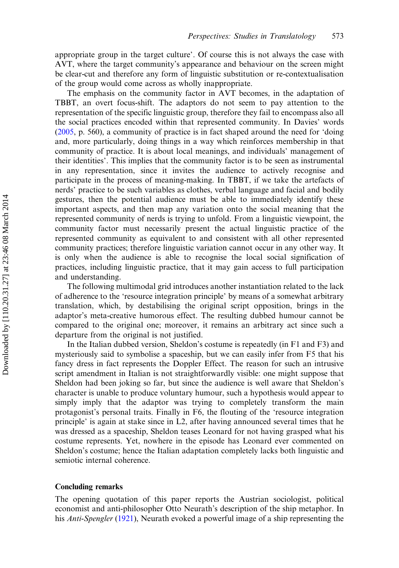appropriate group in the target culture'. Of course this is not always the case with AVT, where the target community's appearance and behaviour on the screen might be clear-cut and therefore any form of linguistic substitution or re-contextualisation of the group would come across as wholly inappropriate.

The emphasis on the community factor in AVT becomes, in the adaptation of TBBT, an overt focus-shift. The adaptors do not seem to pay attention to the representation of the specific linguistic group, therefore they fail to encompass also all the social practices encoded within that represented community. In Davies' words [\(2005](#page-14-0), p. 560), a community of practice is in fact shaped around the need for 'doing and, more particularly, doing things in a way which reinforces membership in that community of practice. It is about local meanings, and individuals' management of their identities'. This implies that the community factor is to be seen as instrumental in any representation, since it invites the audience to actively recognise and participate in the process of meaning-making. In TBBT, if we take the artefacts of nerds' practice to be such variables as clothes, verbal language and facial and bodily gestures, then the potential audience must be able to immediately identify these important aspects, and then map any variation onto the social meaning that the represented community of nerds is trying to unfold. From a linguistic viewpoint, the community factor must necessarily present the actual linguistic practice of the represented community as equivalent to and consistent with all other represented community practices; therefore linguistic variation cannot occur in any other way. It is only when the audience is able to recognise the local social signification of practices, including linguistic practice, that it may gain access to full participation and understanding.

The following multimodal grid introduces another instantiation related to the lack of adherence to the 'resource integration principle' by means of a somewhat arbitrary translation, which, by destabilising the original script opposition, brings in the adaptor's meta-creative humorous effect. The resulting dubbed humour cannot be compared to the original one; moreover, it remains an arbitrary act since such a departure from the original is not justified.

In the Italian dubbed version, Sheldon's costume is repeatedly (in F1 and F3) and mysteriously said to symbolise a spaceship, but we can easily infer from F5 that his fancy dress in fact represents the Doppler Effect. The reason for such an intrusive script amendment in Italian is not straightforwardly visible: one might suppose that Sheldon had been joking so far, but since the audience is well aware that Sheldon's character is unable to produce voluntary humour, such a hypothesis would appear to simply imply that the adaptor was trying to completely transform the main protagonist's personal traits. Finally in F6, the flouting of the 'resource integration principle' is again at stake since in L2, after having announced several times that he was dressed as a spaceship, Sheldon teases Leonard for not having grasped what his costume represents. Yet, nowhere in the episode has Leonard ever commented on Sheldon's costume; hence the Italian adaptation completely lacks both linguistic and semiotic internal coherence.

#### Concluding remarks

The opening quotation of this paper reports the Austrian sociologist, political economist and anti-philosopher Otto Neurath's description of the ship metaphor. In his Anti-Spengler ([1921](#page-14-0)), Neurath evoked a powerful image of a ship representing the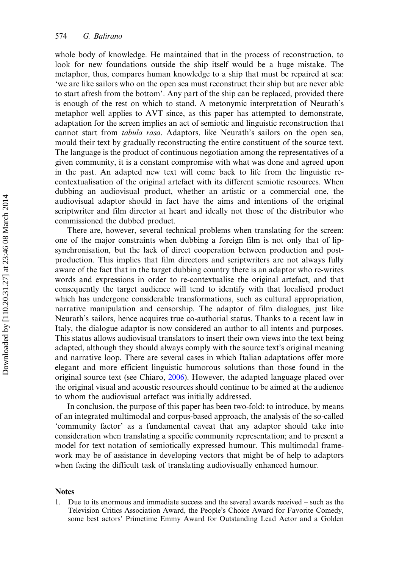<span id="page-12-0"></span>whole body of knowledge. He maintained that in the process of reconstruction, to look for new foundations outside the ship itself would be a huge mistake. The metaphor, thus, compares human knowledge to a ship that must be repaired at sea: 'we are like sailors who on the open sea must reconstruct their ship but are never able to start afresh from the bottom'. Any part of the ship can be replaced, provided there is enough of the rest on which to stand. A metonymic interpretation of Neurath's metaphor well applies to AVT since, as this paper has attempted to demonstrate, adaptation for the screen implies an act of semiotic and linguistic reconstruction that cannot start from tabula rasa. Adaptors, like Neurath's sailors on the open sea, mould their text by gradually reconstructing the entire constituent of the source text. The language is the product of continuous negotiation among the representatives of a given community, it is a constant compromise with what was done and agreed upon in the past. An adapted new text will come back to life from the linguistic recontextualisation of the original artefact with its different semiotic resources. When dubbing an audiovisual product, whether an artistic or a commercial one, the audiovisual adaptor should in fact have the aims and intentions of the original scriptwriter and film director at heart and ideally not those of the distributor who commissioned the dubbed product.

There are, however, several technical problems when translating for the screen: one of the major constraints when dubbing a foreign film is not only that of lipsynchronisation, but the lack of direct cooperation between production and postproduction. This implies that film directors and scriptwriters are not always fully aware of the fact that in the target dubbing country there is an adaptor who re-writes words and expressions in order to re-contextualise the original artefact, and that consequently the target audience will tend to identify with that localised product which has undergone considerable transformations, such as cultural appropriation, narrative manipulation and censorship. The adaptor of film dialogues, just like Neurath's sailors, hence acquires true co-authorial status. Thanks to a recent law in Italy, the dialogue adaptor is now considered an author to all intents and purposes. This status allows audiovisual translators to insert their own views into the text being adapted, although they should always comply with the source text's original meaning and narrative loop. There are several cases in which Italian adaptations offer more elegant and more efficient linguistic humorous solutions than those found in the original source text (see Chiaro, [2006\)](#page-14-0). However, the adapted language placed over the original visual and acoustic resources should continue to be aimed at the audience to whom the audiovisual artefact was initially addressed.

In conclusion, the purpose of this paper has been two-fold: to introduce, by means of an integrated multimodal and corpus-based approach, the analysis of the so-called 'community factor' as a fundamental caveat that any adaptor should take into consideration when translating a specific community representation; and to present a model for text notation of semiotically expressed humour. This multimodal framework may be of assistance in developing vectors that might be of help to adaptors when facing the difficult task of translating audiovisually enhanced humour.

#### **Notes**

1. Due to its enormous and immediate success and the several awards received – such as the Television Critics Association Award, the People's Choice Award for Favorite Comedy, some best actors' Primetime Emmy Award for Outstanding Lead Actor and a Golden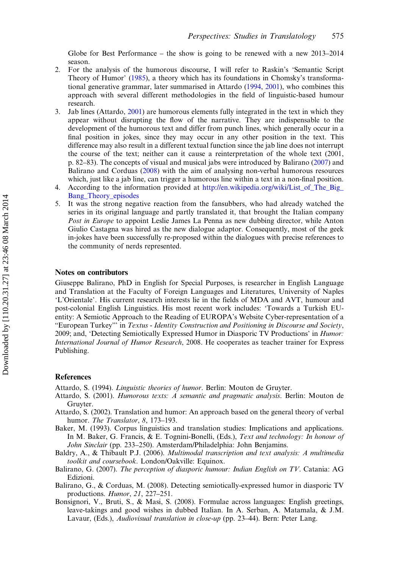<span id="page-13-0"></span>Globe for Best Performance – the show is going to be renewed with a new 2013–2014 season.

- 2. For the analysis of the humorous discourse, I will refer to Raskin's 'Semantic Script Theory of Humor' [\(1985](#page-14-0)), a theory which has its foundations in Chomsky's transformational generative grammar, later summarised in Attardo (1994, 2001), who combines this approach with several different methodologies in the field of linguistic-based humour research.
- 3. Jab lines (Attardo, 2001) are humorous elements fully integrated in the text in which they appear without disrupting the flow of the narrative. They are indispensable to the development of the humorous text and differ from punch lines, which generally occur in a final position in jokes, since they may occur in any other position in the text. This difference may also result in a different textual function since the jab line does not interrupt the course of the text; neither can it cause a reinterpretation of the whole text (2001, p. 82–83). The concepts of visual and musical jabs were introduced by Balirano (2007) and Balirano and Corduas (2008) with the aim of analysing non-verbal humorous resources which, just like a jab line, can trigger a humorous line within a text in a non-final position.
- 4. According to the information provided at [http://en.wikipedia.org/wiki/List\\_of\\_The\\_Big\\_](http://en.wikipedia.org/wiki/List_of_The_Big_Bang_Theory_episodes) [Bang\\_Theory\\_episodes](http://en.wikipedia.org/wiki/List_of_The_Big_Bang_Theory_episodes)
- 5. It was the strong negative reaction from the fansubbers, who had already watched the series in its original language and partly translated it, that brought the Italian company Post in Europe to appoint Leslie James La Penna as new dubbing director, while Anton Giulio Castagna was hired as the new dialogue adaptor. Consequently, most of the geek in-jokes have been successfully re-proposed within the dialogues with precise references to the community of nerds represented.

#### Notes on contributors

Giuseppe Balirano, PhD in English for Special Purposes, is researcher in English Language and Translation at the Faculty of Foreign Languages and Literatures, University of Naples 'L'Orientale'. His current research interests lie in the fields of MDA and AVT, humour and post-colonial English Linguistics. His most recent work includes: 'Towards a Turkish EUentity: A Semiotic Approach to the Reading of EUROPA's Website Cyber-representation of a "European Turkey"' in Textus - Identity Construction and Positioning in Discourse and Society, 2009; and, 'Detecting Semiotically Expressed Humor in Diasporic TV Productions' in Humor: International Journal of Humor Research, 2008. He cooperates as teacher trainer for Express Publishing.

#### **References**

Attardo, S. (1994). Linguistic theories of humor. Berlin: Mouton de Gruyter.

- Attardo, S. (2001). Humorous texts: A semantic and pragmatic analysis. Berlin: Mouton de Gruyter.
- Attardo, S. (2002). Translation and humor: An approach based on the general theory of verbal humor. The Translator, 8, 173-193.
- Baker, M. (1993). Corpus linguistics and translation studies: Implications and applications. In M. Baker, G. Francis, & E. Tognini-Bonelli, (Eds.), Text and technology: In honour of John Sinclair (pp. 233–250). Amsterdam/Philadelphia: John Benjamins.
- Baldry, A., & Thibault P.J. (2006). Multimodal transcription and text analysis: A multimedia toolkit and coursebook. London/Oakville: Equinox.
- Balirano, G. (2007). The perception of diasporic humour: Indian English on TV. Catania: AG Edizioni.
- Balirano, G., & Corduas, M. (2008). Detecting semiotically-expressed humor in diasporic TV productions. Humor, 21, 227–251.
- Bonsignori, V., Bruti, S., & Masi, S. (2008). Formulae across languages: English greetings, leave-takings and good wishes in dubbed Italian. In A. Serban, A. Matamala, & J.M. Lavaur, (Eds.), Audiovisual translation in close-up (pp. 23–44). Bern: Peter Lang.